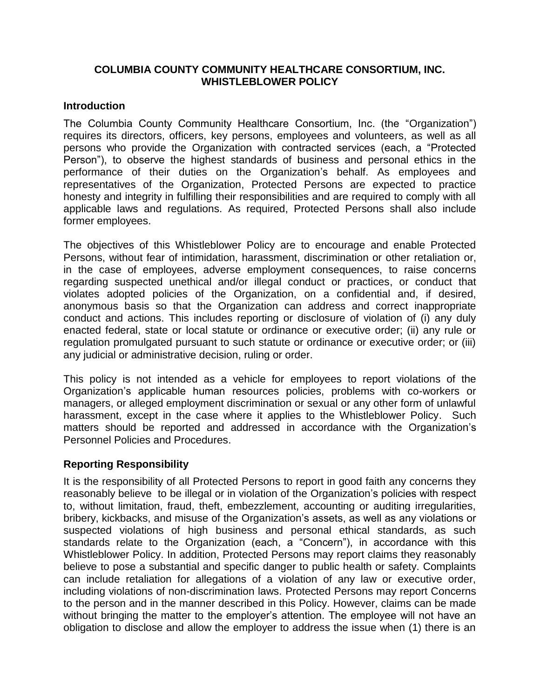#### **COLUMBIA COUNTY COMMUNITY HEALTHCARE CONSORTIUM, INC. WHISTLEBLOWER POLICY**

#### **Introduction**

The Columbia County Community Healthcare Consortium, Inc. (the "Organization") requires its directors, officers, key persons, employees and volunteers, as well as all persons who provide the Organization with contracted services (each, a "Protected Person"), to observe the highest standards of business and personal ethics in the performance of their duties on the Organization's behalf. As employees and representatives of the Organization, Protected Persons are expected to practice honesty and integrity in fulfilling their responsibilities and are required to comply with all applicable laws and regulations. As required, Protected Persons shall also include former employees.

The objectives of this Whistleblower Policy are to encourage and enable Protected Persons, without fear of intimidation, harassment, discrimination or other retaliation or, in the case of employees, adverse employment consequences, to raise concerns regarding suspected unethical and/or illegal conduct or practices, or conduct that violates adopted policies of the Organization, on a confidential and, if desired, anonymous basis so that the Organization can address and correct inappropriate conduct and actions. This includes reporting or disclosure of violation of (i) any duly enacted federal, state or local statute or ordinance or executive order; (ii) any rule or regulation promulgated pursuant to such statute or ordinance or executive order; or (iii) any judicial or administrative decision, ruling or order.

This policy is not intended as a vehicle for employees to report violations of the Organization's applicable human resources policies, problems with co-workers or managers, or alleged employment discrimination or sexual or any other form of unlawful harassment, except in the case where it applies to the Whistleblower Policy. Such matters should be reported and addressed in accordance with the Organization's Personnel Policies and Procedures.

## **Reporting Responsibility**

It is the responsibility of all Protected Persons to report in good faith any concerns they reasonably believe to be illegal or in violation of the Organization's policies with respect to, without limitation, fraud, theft, embezzlement, accounting or auditing irregularities, bribery, kickbacks, and misuse of the Organization's assets, as well as any violations or suspected violations of high business and personal ethical standards, as such standards relate to the Organization (each, a "Concern"), in accordance with this Whistleblower Policy. In addition, Protected Persons may report claims they reasonably believe to pose a substantial and specific danger to public health or safety. Complaints can include retaliation for allegations of a violation of any law or executive order, including violations of non-discrimination laws. Protected Persons may report Concerns to the person and in the manner described in this Policy. However, claims can be made without bringing the matter to the employer's attention. The employee will not have an obligation to disclose and allow the employer to address the issue when (1) there is an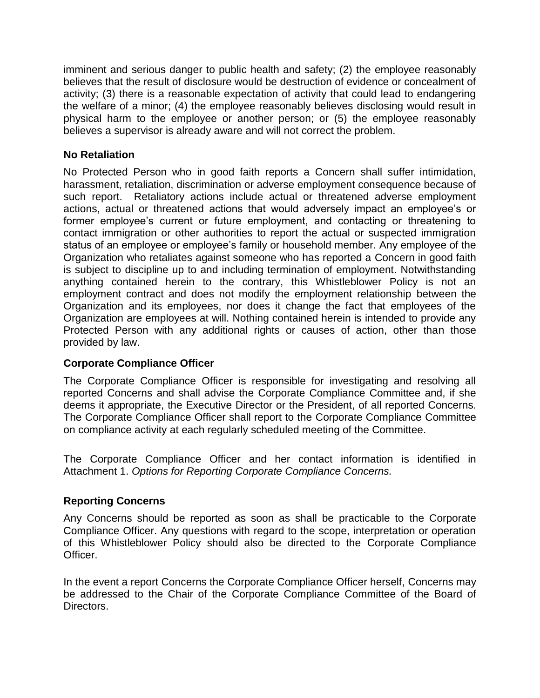imminent and serious danger to public health and safety; (2) the employee reasonably believes that the result of disclosure would be destruction of evidence or concealment of activity; (3) there is a reasonable expectation of activity that could lead to endangering the welfare of a minor; (4) the employee reasonably believes disclosing would result in physical harm to the employee or another person; or (5) the employee reasonably believes a supervisor is already aware and will not correct the problem.

## **No Retaliation**

No Protected Person who in good faith reports a Concern shall suffer intimidation, harassment, retaliation, discrimination or adverse employment consequence because of such report. Retaliatory actions include actual or threatened adverse employment actions, actual or threatened actions that would adversely impact an employee's or former employee's current or future employment, and contacting or threatening to contact immigration or other authorities to report the actual or suspected immigration status of an employee or employee's family or household member. Any employee of the Organization who retaliates against someone who has reported a Concern in good faith is subject to discipline up to and including termination of employment. Notwithstanding anything contained herein to the contrary, this Whistleblower Policy is not an employment contract and does not modify the employment relationship between the Organization and its employees, nor does it change the fact that employees of the Organization are employees at will. Nothing contained herein is intended to provide any Protected Person with any additional rights or causes of action, other than those provided by law.

# **Corporate Compliance Officer**

The Corporate Compliance Officer is responsible for investigating and resolving all reported Concerns and shall advise the Corporate Compliance Committee and, if she deems it appropriate, the Executive Director or the President, of all reported Concerns. The Corporate Compliance Officer shall report to the Corporate Compliance Committee on compliance activity at each regularly scheduled meeting of the Committee.

The Corporate Compliance Officer and her contact information is identified in Attachment 1. *Options for Reporting Corporate Compliance Concerns.* 

# **Reporting Concerns**

Any Concerns should be reported as soon as shall be practicable to the Corporate Compliance Officer. Any questions with regard to the scope, interpretation or operation of this Whistleblower Policy should also be directed to the Corporate Compliance Officer.

In the event a report Concerns the Corporate Compliance Officer herself, Concerns may be addressed to the Chair of the Corporate Compliance Committee of the Board of Directors.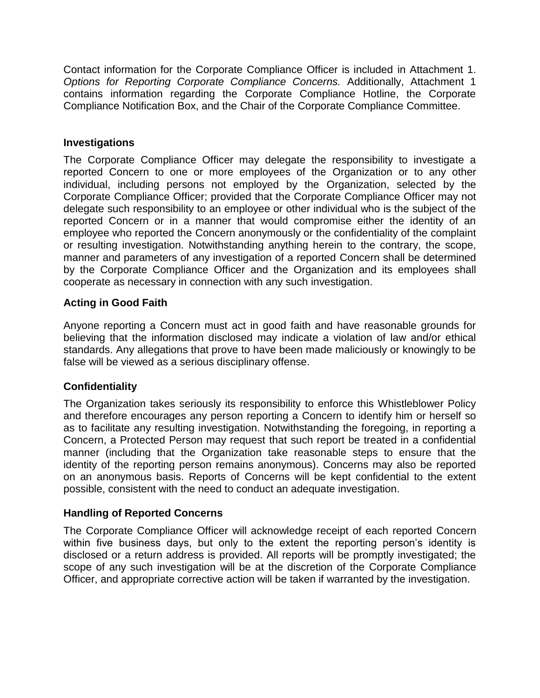Contact information for the Corporate Compliance Officer is included in Attachment 1. *Options for Reporting Corporate Compliance Concerns.* Additionally, Attachment 1 contains information regarding the Corporate Compliance Hotline, the Corporate Compliance Notification Box, and the Chair of the Corporate Compliance Committee.

#### **Investigations**

The Corporate Compliance Officer may delegate the responsibility to investigate a reported Concern to one or more employees of the Organization or to any other individual, including persons not employed by the Organization, selected by the Corporate Compliance Officer; provided that the Corporate Compliance Officer may not delegate such responsibility to an employee or other individual who is the subject of the reported Concern or in a manner that would compromise either the identity of an employee who reported the Concern anonymously or the confidentiality of the complaint or resulting investigation. Notwithstanding anything herein to the contrary, the scope, manner and parameters of any investigation of a reported Concern shall be determined by the Corporate Compliance Officer and the Organization and its employees shall cooperate as necessary in connection with any such investigation.

#### **Acting in Good Faith**

Anyone reporting a Concern must act in good faith and have reasonable grounds for believing that the information disclosed may indicate a violation of law and/or ethical standards. Any allegations that prove to have been made maliciously or knowingly to be false will be viewed as a serious disciplinary offense.

## **Confidentiality**

The Organization takes seriously its responsibility to enforce this Whistleblower Policy and therefore encourages any person reporting a Concern to identify him or herself so as to facilitate any resulting investigation. Notwithstanding the foregoing, in reporting a Concern, a Protected Person may request that such report be treated in a confidential manner (including that the Organization take reasonable steps to ensure that the identity of the reporting person remains anonymous). Concerns may also be reported on an anonymous basis. Reports of Concerns will be kept confidential to the extent possible, consistent with the need to conduct an adequate investigation.

## **Handling of Reported Concerns**

The Corporate Compliance Officer will acknowledge receipt of each reported Concern within five business days, but only to the extent the reporting person's identity is disclosed or a return address is provided. All reports will be promptly investigated; the scope of any such investigation will be at the discretion of the Corporate Compliance Officer, and appropriate corrective action will be taken if warranted by the investigation.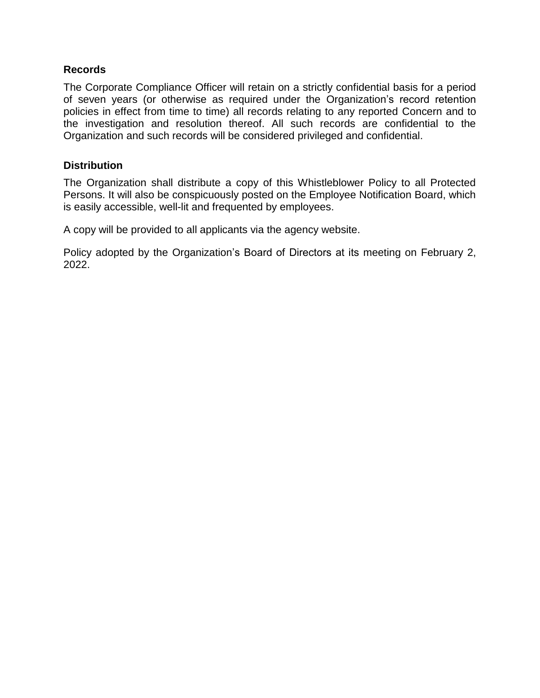## **Records**

The Corporate Compliance Officer will retain on a strictly confidential basis for a period of seven years (or otherwise as required under the Organization's record retention policies in effect from time to time) all records relating to any reported Concern and to the investigation and resolution thereof. All such records are confidential to the Organization and such records will be considered privileged and confidential.

## **Distribution**

The Organization shall distribute a copy of this Whistleblower Policy to all Protected Persons. It will also be conspicuously posted on the Employee Notification Board, which is easily accessible, well-lit and frequented by employees.

A copy will be provided to all applicants via the agency website.

Policy adopted by the Organization's Board of Directors at its meeting on February 2, 2022.